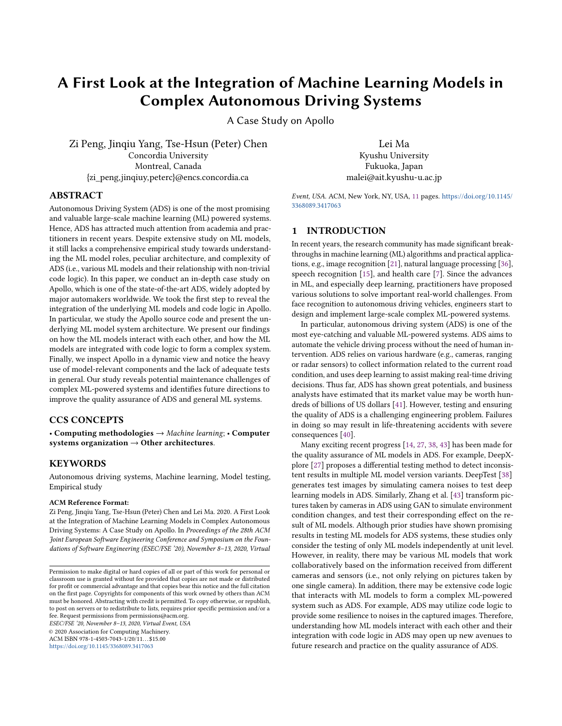# A First Look at the Integration of Machine Learning Models in Complex Autonomous Driving Systems

A Case Study on Apollo

Zi Peng, Jinqiu Yang, Tse-Hsun (Peter) Chen Concordia University Montreal, Canada {zi\_peng,jinqiuy,peterc}@encs.concordia.ca

Lei Ma Kyushu University Fukuoka, Japan malei@ait.kyushu-u.ac.jp

# ABSTRACT

Autonomous Driving System (ADS) is one of the most promising and valuable large-scale machine learning (ML) powered systems. Hence, ADS has attracted much attention from academia and practitioners in recent years. Despite extensive study on ML models, it still lacks a comprehensive empirical study towards understanding the ML model roles, peculiar architecture, and complexity of ADS (i.e., various ML models and their relationship with non-trivial code logic). In this paper, we conduct an in-depth case study on Apollo, which is one of the state-of-the-art ADS, widely adopted by major automakers worldwide. We took the first step to reveal the integration of the underlying ML models and code logic in Apollo. In particular, we study the Apollo source code and present the underlying ML model system architecture. We present our findings on how the ML models interact with each other, and how the ML models are integrated with code logic to form a complex system. Finally, we inspect Apollo in a dynamic view and notice the heavy use of model-relevant components and the lack of adequate tests in general. Our study reveals potential maintenance challenges of complex ML-powered systems and identifies future directions to improve the quality assurance of ADS and general ML systems.

# CCS CONCEPTS

• Computing methodologies → Machine learning; • Computer systems organization  $\rightarrow$  Other architectures.

## **KEYWORDS**

Autonomous driving systems, Machine learning, Model testing, Empirical study

#### ACM Reference Format:

Zi Peng, Jinqiu Yang, Tse-Hsun (Peter) Chen and Lei Ma. 2020. A First Look at the Integration of Machine Learning Models in Complex Autonomous Driving Systems: A Case Study on Apollo. In Proceedings of the 28th ACM Joint European Software Engineering Conference and Symposium on the Foundations of Software Engineering (ESEC/FSE '20), November 8–13, 2020, Virtual

ESEC/FSE '20, November 8–13, 2020, Virtual Event, USA © 2020 Association for Computing Machinery.

ACM ISBN 978-1-4503-7043-1/20/11...\$15.00

<https://doi.org/10.1145/3368089.3417063>

Event, USA. ACM, New York, NY, USA, [11](#page-10-0) pages. [https://doi.org/10.1145/](https://doi.org/10.1145/3368089.3417063) [3368089.3417063](https://doi.org/10.1145/3368089.3417063)

## 1 INTRODUCTION

In recent years, the research community has made significant breakthroughs in machine learning (ML) algorithms and practical applications, e.g., image recognition [\[21\]](#page-10-1), natural language processing [\[36\]](#page-10-2), speech recognition [\[15\]](#page-10-3), and health care [\[7\]](#page-10-4). Since the advances in ML, and especially deep learning, practitioners have proposed various solutions to solve important real-world challenges. From face recognition to autonomous driving vehicles, engineers start to design and implement large-scale complex ML-powered systems.

In particular, autonomous driving system (ADS) is one of the most eye-catching and valuable ML-powered systems. ADS aims to automate the vehicle driving process without the need of human intervention. ADS relies on various hardware (e.g., cameras, ranging or radar sensors) to collect information related to the current road condition, and uses deep learning to assist making real-time driving decisions. Thus far, ADS has shown great potentials, and business analysts have estimated that its market value may be worth hundreds of billions of US dollars [\[41\]](#page-10-5). However, testing and ensuring the quality of ADS is a challenging engineering problem. Failures in doing so may result in life-threatening accidents with severe consequences [\[40\]](#page-10-6).

Many exciting recent progress [\[14,](#page-10-7) [27,](#page-10-8) [38,](#page-10-9) [43\]](#page-10-10) has been made for the quality assurance of ML models in ADS. For example, DeepXplore [\[27\]](#page-10-8) proposes a differential testing method to detect inconsistent results in multiple ML model version variants. DeepTest [\[38\]](#page-10-9) generates test images by simulating camera noises to test deep learning models in ADS. Similarly, Zhang et al. [\[43\]](#page-10-10) transform pictures taken by cameras in ADS using GAN to simulate environment condition changes, and test their corresponding effect on the result of ML models. Although prior studies have shown promising results in testing ML models for ADS systems, these studies only consider the testing of only ML models independently at unit level. However, in reality, there may be various ML models that work collaboratively based on the information received from different cameras and sensors (i.e., not only relying on pictures taken by one single camera). In addition, there may be extensive code logic that interacts with ML models to form a complex ML-powered system such as ADS. For example, ADS may utilize code logic to provide some resilience to noises in the captured images. Therefore, understanding how ML models interact with each other and their integration with code logic in ADS may open up new avenues to future research and practice on the quality assurance of ADS.

Permission to make digital or hard copies of all or part of this work for personal or classroom use is granted without fee provided that copies are not made or distributed for profit or commercial advantage and that copies bear this notice and the full citation on the first page. Copyrights for components of this work owned by others than ACM must be honored. Abstracting with credit is permitted. To copy otherwise, or republish, to post on servers or to redistribute to lists, requires prior specific permission and/or a fee. Request permissions from permissions@acm.org.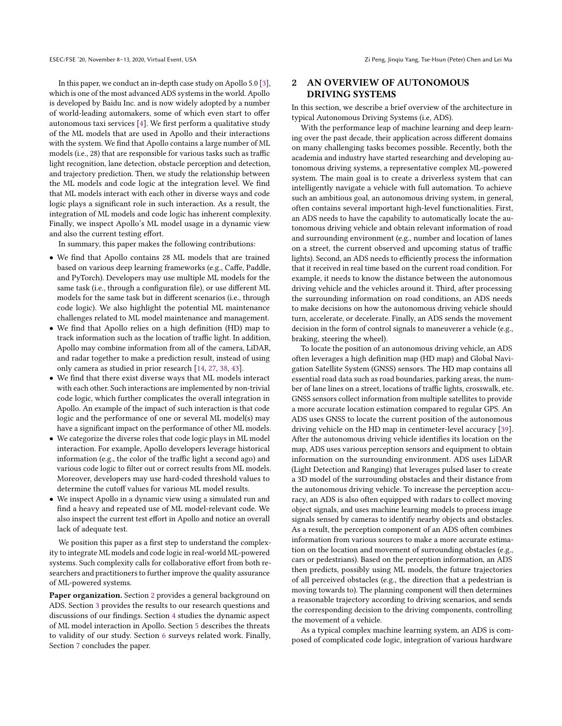In this paper, we conduct an in-depth case study on Apollo 5.0 [\[3\]](#page-10-11), which is one of the most advanced ADS systems in the world. Apollo is developed by Baidu Inc. and is now widely adopted by a number of world-leading automakers, some of which even start to offer autonomous taxi services [\[4\]](#page-10-12). We first perform a qualitative study of the ML models that are used in Apollo and their interactions with the system. We find that Apollo contains a large number of ML models (i.e., 28) that are responsible for various tasks such as traffic light recognition, lane detection, obstacle perception and detection, and trajectory prediction. Then, we study the relationship between the ML models and code logic at the integration level. We find that ML models interact with each other in diverse ways and code logic plays a significant role in such interaction. As a result, the integration of ML models and code logic has inherent complexity. Finally, we inspect Apollo's ML model usage in a dynamic view and also the current testing effort.

In summary, this paper makes the following contributions:

- We find that Apollo contains 28 ML models that are trained based on various deep learning frameworks (e.g., Caffe, Paddle, and PyTorch). Developers may use multiple ML models for the same task (i.e., through a configuration file), or use different ML models for the same task but in different scenarios (i.e., through code logic). We also highlight the potential ML maintenance challenges related to ML model maintenance and management.
- We find that Apollo relies on a high definition (HD) map to track information such as the location of traffic light. In addition, Apollo may combine information from all of the camera, LiDAR, and radar together to make a prediction result, instead of using only camera as studied in prior research [\[14,](#page-10-7) [27,](#page-10-8) [38,](#page-10-9) [43\]](#page-10-10).
- We find that there exist diverse ways that ML models interact with each other. Such interactions are implemented by non-trivial code logic, which further complicates the overall integration in Apollo. An example of the impact of such interaction is that code logic and the performance of one or several ML model(s) may have a significant impact on the performance of other ML models.
- We categorize the diverse roles that code logic plays in ML model interaction. For example, Apollo developers leverage historical information (e.g., the color of the traffic light a second ago) and various code logic to filter out or correct results from ML models. Moreover, developers may use hard-coded threshold values to determine the cutoff values for various ML model results.
- We inspect Apollo in a dynamic view using a simulated run and find a heavy and repeated use of ML model-relevant code. We also inspect the current test effort in Apollo and notice an overall lack of adequate test.

We position this paper as a first step to understand the complexity to integrate ML models and code logic in real-world ML-powered systems. Such complexity calls for collaborative effort from both researchers and practitioners to further improve the quality assurance of ML-powered systems.

Paper organization. Section [2](#page-1-0) provides a general background on ADS. Section [3](#page-2-0) provides the results to our research questions and discussions of our findings. Section [4](#page-8-0) studies the dynamic aspect of ML model interaction in Apollo. Section [5](#page-8-1) describes the threats to validity of our study. Section [6](#page-9-0) surveys related work. Finally, Section [7](#page-9-1) concludes the paper.

# <span id="page-1-0"></span>2 AN OVERVIEW OF AUTONOMOUS DRIVING SYSTEMS

In this section, we describe a brief overview of the architecture in typical Autonomous Driving Systems (i.e, ADS).

With the performance leap of machine learning and deep learning over the past decade, their application across different domains on many challenging tasks becomes possible. Recently, both the academia and industry have started researching and developing autonomous driving systems, a representative complex ML-powered system. The main goal is to create a driverless system that can intelligently navigate a vehicle with full automation. To achieve such an ambitious goal, an autonomous driving system, in general, often contains several important high-level functionalities. First, an ADS needs to have the capability to automatically locate the autonomous driving vehicle and obtain relevant information of road and surrounding environment (e.g., number and location of lanes on a street, the current observed and upcoming status of traffic lights). Second, an ADS needs to efficiently process the information that it received in real time based on the current road condition. For example, it needs to know the distance between the autonomous driving vehicle and the vehicles around it. Third, after processing the surrounding information on road conditions, an ADS needs to make decisions on how the autonomous driving vehicle should turn, accelerate, or decelerate. Finally, an ADS sends the movement decision in the form of control signals to maneuverer a vehicle (e.g., braking, steering the wheel).

To locate the position of an autonomous driving vehicle, an ADS often leverages a high definition map (HD map) and Global Navigation Satellite System (GNSS) sensors. The HD map contains all essential road data such as road boundaries, parking areas, the number of lane lines on a street, locations of traffic lights, crosswalk, etc. GNSS sensors collect information from multiple satellites to provide a more accurate location estimation compared to regular GPS. An ADS uses GNSS to locate the current position of the autonomous driving vehicle on the HD map in centimeter-level accuracy [\[39\]](#page-10-13). After the autonomous driving vehicle identifies its location on the map, ADS uses various perception sensors and equipment to obtain information on the surrounding environment. ADS uses LiDAR (Light Detection and Ranging) that leverages pulsed laser to create a 3D model of the surrounding obstacles and their distance from the autonomous driving vehicle. To increase the perception accuracy, an ADS is also often equipped with radars to collect moving object signals, and uses machine learning models to process image signals sensed by cameras to identify nearby objects and obstacles. As a result, the perception component of an ADS often combines information from various sources to make a more accurate estimation on the location and movement of surrounding obstacles (e.g., cars or pedestrians). Based on the perception information, an ADS then predicts, possibly using ML models, the future trajectories of all perceived obstacles (e.g., the direction that a pedestrian is moving towards to). The planning component will then determines a reasonable trajectory according to driving scenarios, and sends the corresponding decision to the driving components, controlling the movement of a vehicle.

As a typical complex machine learning system, an ADS is composed of complicated code logic, integration of various hardware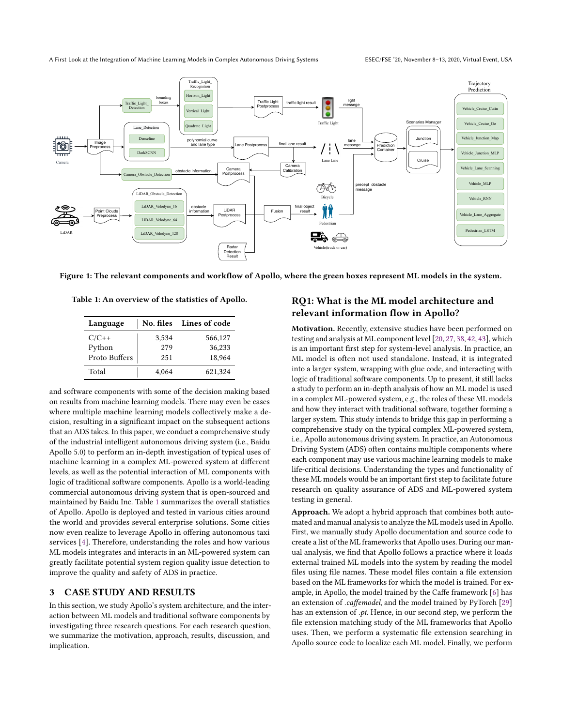A First Look at the Integration of Machine Learning Models in Complex Autonomous Driving Systems ESEC/FSE '20, November 8–13, 2020, Virtual Event, USA

<span id="page-2-2"></span>

<span id="page-2-1"></span>Figure 1: The relevant components and workflow of Apollo, where the green boxes represent ML models in the system.

Table 1: An overview of the statistics of Apollo.

| Language      |       | No. files Lines of code |
|---------------|-------|-------------------------|
| $C/C++$       | 3.534 | 566,127                 |
| Python        | 279   | 36.233                  |
| Proto Buffers | 251   | 18.964                  |
| Total         | 4.064 | 621,324                 |

and software components with some of the decision making based on results from machine learning models. There may even be cases where multiple machine learning models collectively make a decision, resulting in a significant impact on the subsequent actions that an ADS takes. In this paper, we conduct a comprehensive study of the industrial intelligent autonomous driving system (i.e., Baidu Apollo 5.0) to perform an in-depth investigation of typical uses of machine learning in a complex ML-powered system at different levels, as well as the potential interaction of ML components with logic of traditional software components. Apollo is a world-leading commercial autonomous driving system that is open-sourced and maintained by Baidu Inc. Table [1](#page-2-1) summarizes the overall statistics of Apollo. Apollo is deployed and tested in various cities around the world and provides several enterprise solutions. Some cities now even realize to leverage Apollo in offering autonomous taxi services [\[4\]](#page-10-12). Therefore, understanding the roles and how various ML models integrates and interacts in an ML-powered system can greatly facilitate potential system region quality issue detection to improve the quality and safety of ADS in practice.

## <span id="page-2-0"></span>3 CASE STUDY AND RESULTS

In this section, we study Apollo's system architecture, and the interaction between ML models and traditional software components by investigating three research questions. For each research question, we summarize the motivation, approach, results, discussion, and implication.

# RQ1: What is the ML model architecture and relevant information flow in Apollo?

Motivation. Recently, extensive studies have been performed on testing and analysis at ML component level [\[20,](#page-10-14) [27,](#page-10-8) [38,](#page-10-9) [42,](#page-10-15) [43\]](#page-10-10), which is an important first step for system-level analysis. In practice, an ML model is often not used standalone. Instead, it is integrated into a larger system, wrapping with glue code, and interacting with logic of traditional software components. Up to present, it still lacks a study to perform an in-depth analysis of how an ML model is used in a complex ML-powered system, e.g., the roles of these ML models and how they interact with traditional software, together forming a larger system. This study intends to bridge this gap in performing a comprehensive study on the typical complex ML-powered system, i.e., Apollo autonomous driving system. In practice, an Autonomous Driving System (ADS) often contains multiple components where each component may use various machine learning models to make life-critical decisions. Understanding the types and functionality of these ML models would be an important first step to facilitate future research on quality assurance of ADS and ML-powered system testing in general.

Approach. We adopt a hybrid approach that combines both automated and manual analysis to analyze the ML models used in Apollo. First, we manually study Apollo documentation and source code to create a list of the ML frameworks that Apollo uses. During our manual analysis, we find that Apollo follows a practice where it loads external trained ML models into the system by reading the model files using file names. These model files contain a file extension based on the ML frameworks for which the model is trained. For example, in Apollo, the model trained by the Caffe framework [\[6\]](#page-10-16) has an extension of .caffemodel, and the model trained by PyTorch [\[29\]](#page-10-17) has an extension of .pt. Hence, in our second step, we perform the file extension matching study of the ML frameworks that Apollo uses. Then, we perform a systematic file extension searching in Apollo source code to localize each ML model. Finally, we perform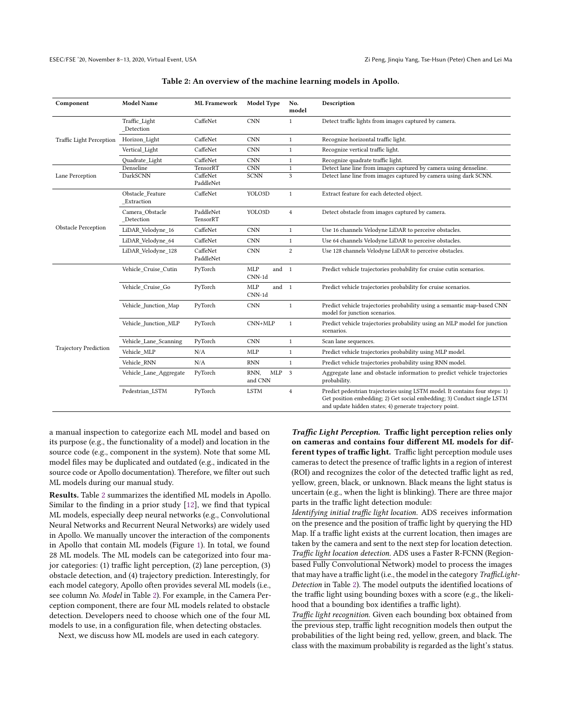<span id="page-3-0"></span>

| Component                    | <b>Model Name</b>              | <b>ML</b> Framework   | Model Type                      | No.<br>model   | Description                                                                                                                                                                                                        |
|------------------------------|--------------------------------|-----------------------|---------------------------------|----------------|--------------------------------------------------------------------------------------------------------------------------------------------------------------------------------------------------------------------|
| Traffic Light Perception     | Traffic Light<br>Detection     | CaffeNet              | <b>CNN</b>                      | $\mathbf{1}$   | Detect traffic lights from images captured by camera.                                                                                                                                                              |
|                              | Horizon Light                  | CaffeNet              | <b>CNN</b>                      | $\mathbf{1}$   | Recognize horizontal traffic light.                                                                                                                                                                                |
|                              | Vertical Light                 | CaffeNet              | <b>CNN</b>                      | $\mathbf{1}$   | Recognize vertical traffic light.                                                                                                                                                                                  |
|                              | Ouadrate Light                 | CaffeNet              | <b>CNN</b>                      | $\mathbf{1}$   | Recognize quadrate traffic light.                                                                                                                                                                                  |
|                              | Denseline                      | TensorRT              | <b>CNN</b>                      | 1              | Detect lane line from images captured by camera using denseline.                                                                                                                                                   |
| Lane Perception              | <b>DarkSCNN</b>                | CaffeNet<br>PaddleNet | <b>SCNN</b>                     | 3              | Detect lane line from images captured by camera using dark SCNN.                                                                                                                                                   |
| <b>Obstacle Perception</b>   | Obstacle Feature<br>Extraction | CaffeNet              | YOLO3D                          | $\mathbf{1}$   | Extract feature for each detected object.                                                                                                                                                                          |
|                              | Camera Obstacle<br>Detection   | PaddleNet<br>TensorRT | YOLO3D                          | $\overline{4}$ | Detect obstacle from images captured by camera.                                                                                                                                                                    |
|                              | LiDAR Velodyne 16              | CaffeNet              | <b>CNN</b>                      | $1\,$          | Use 16 channels Velodyne LiDAR to perceive obstacles.                                                                                                                                                              |
|                              | LiDAR Velodyne 64              | CaffeNet              | <b>CNN</b>                      | $\mathbf{1}$   | Use 64 channels Velodyne LiDAR to perceive obstacles.                                                                                                                                                              |
|                              | LiDAR Velodyne 128             | CaffeNet<br>PaddleNet | <b>CNN</b>                      | $\overline{c}$ | Use 128 channels Velodyne LiDAR to perceive obstacles.                                                                                                                                                             |
| <b>Trajectory Prediction</b> | Vehicle Cruise Cutin           | PyTorch               | <b>MLP</b><br>and 1<br>$CNN-1d$ |                | Predict vehicle trajectories probability for cruise cutin scenarios.                                                                                                                                               |
|                              | Vehicle Cruise Go              | PyTorch               | MLP<br>and 1<br>$CNN-1d$        |                | Predict vehicle trajectories probability for cruise scenarios.                                                                                                                                                     |
|                              | Vehicle Junction Map           | PyTorch               | <b>CNN</b>                      | $\mathbf{1}$   | Predict vehicle trajectories probability using a semantic map-based CNN<br>model for junction scenarios.                                                                                                           |
|                              | Vehicle Junction MLP           | PyTorch               | $CNN+MLP$                       | $\mathbf{1}$   | Predict vehicle trajectories probability using an MLP model for junction<br>scenarios.                                                                                                                             |
|                              | Vehicle Lane Scanning          | PyTorch               | <b>CNN</b>                      | $\mathbf{1}$   | Scan lane sequences.                                                                                                                                                                                               |
|                              | Vehicle MLP                    | N/A                   | MLP                             | $\mathbf{1}$   | Predict vehicle trajectories probability using MLP model.                                                                                                                                                          |
|                              | Vehicle RNN                    | N/A                   | <b>RNN</b>                      | $\mathbf{1}$   | Predict vehicle trajectories probability using RNN model.                                                                                                                                                          |
|                              | Vehicle Lane Aggregate         | PyTorch               | RNN,<br>MLP 3<br>and CNN        |                | Aggregate lane and obstacle information to predict vehicle trajectories<br>probability.                                                                                                                            |
|                              | Pedestrian LSTM                | PyTorch               | <b>LSTM</b>                     | $\overline{4}$ | Predict pedestrian trajectories using LSTM model. It contains four steps: 1)<br>Get position embedding; 2) Get social embedding; 3) Conduct single LSTM<br>and update hidden states; 4) generate trajectory point. |

a manual inspection to categorize each ML model and based on its purpose (e.g., the functionality of a model) and location in the source code (e.g., component in the system). Note that some ML model files may be duplicated and outdated (e.g., indicated in the source code or Apollo documentation). Therefore, we filter out such ML models during our manual study.

Results. Table [2](#page-3-0) summarizes the identified ML models in Apollo. Similar to the finding in a prior study [\[12\]](#page-10-18), we find that typical ML models, especially deep neural networks (e.g., Convolutional Neural Networks and Recurrent Neural Networks) are widely used in Apollo. We manually uncover the interaction of the components in Apollo that contain ML models (Figure [1\)](#page-2-2). In total, we found 28 ML models. The ML models can be categorized into four major categories: (1) traffic light perception, (2) lane perception, (3) obstacle detection, and (4) trajectory prediction. Interestingly, for each model category, Apollo often provides several ML models (i.e., see column No. Model in Table [2\)](#page-3-0). For example, in the Camera Perception component, there are four ML models related to obstacle detection. Developers need to choose which one of the four ML models to use, in a configuration file, when detecting obstacles.

Next, we discuss how ML models are used in each category.

Traffic Light Perception. Traffic light perception relies only on cameras and contains four different ML models for different types of traffic light. Traffic light perception module uses cameras to detect the presence of traffic lights in a region of interest (ROI) and recognizes the color of the detected traffic light as red, yellow, green, black, or unknown. Black means the light status is uncertain (e.g., when the light is blinking). There are three major parts in the traffic light detection module:

Identifying initial traffic light location. ADS receives information on the presence and the position of traffic light by querying the HD Map. If a traffic light exists at the current location, then images are taken by the camera and sent to the next step for location detection. Traffic light location detection. ADS uses a Faster R-FCNN (Regionbased Fully Convolutional Network) model to process the images that may have a traffic light (i.e., the model in the category TrafficLight-Detection in Table [2\)](#page-3-0). The model outputs the identified locations of the traffic light using bounding boxes with a score (e.g., the likelihood that a bounding box identifies a traffic light).

Traffic light recognition. Given each bounding box obtained from the previous step, traffic light recognition models then output the probabilities of the light being red, yellow, green, and black. The class with the maximum probability is regarded as the light's status.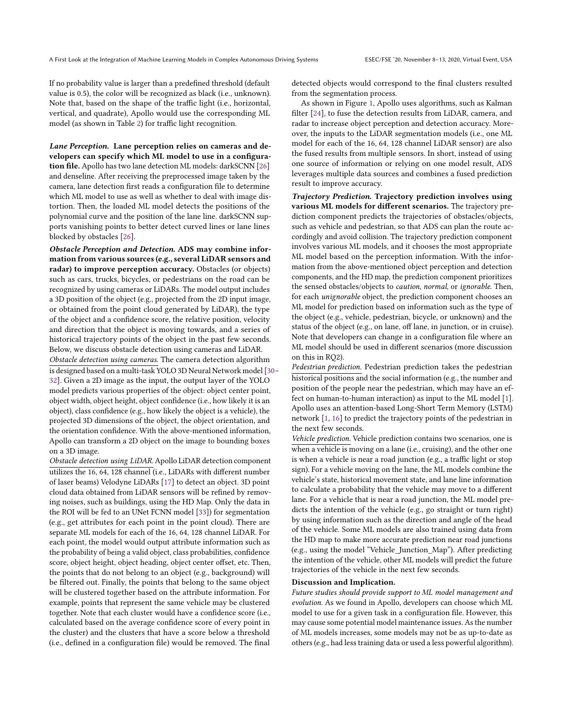If no probability value is larger than a predefined threshold (default value is 0.5), the color will be recognized as black (i.e., unknown). Note that, based on the shape of the traffic light (i.e., horizontal, vertical, and quadrate), Apollo would use the corresponding ML model (as shown in Table [2\)](#page-3-0) for traffic light recognition.

Lane Perception. Lane perception relies on cameras and developers can specify which ML model to use in a configuration file. Apollo has two lane detection ML models: darkSCNN [\[26\]](#page-10-19) and denseline. After receiving the preprocessed image taken by the camera, lane detection first reads a configuration file to determine which ML model to use as well as whether to deal with image distortion. Then, the loaded ML model detects the positions of the polynomial curve and the position of the lane line. darkSCNN supports vanishing points to better detect curved lines or lane lines blocked by obstacles [\[26\]](#page-10-19).

Obstacle Perception and Detection. ADS may combine information from various sources (e.g., several LiDAR sensors and radar) to improve perception accuracy. Obstacles (or objects) such as cars, trucks, bicycles, or pedestrians on the road can be recognized by using cameras or LiDARs. The model output includes a 3D position of the object (e.g., projected from the 2D input image, or obtained from the point cloud generated by LiDAR), the type of the object and a confidence score, the relative position, velocity and direction that the object is moving towards, and a series of historical trajectory points of the object in the past few seconds. Below, we discuss obstacle detection using cameras and LiDAR.

Obstacle detection using cameras. The camera detection algorithm is designed based on a multi-task YOLO 3D Neural Network model [\[30–](#page-10-20) [32\]](#page-10-21). Given a 2D image as the input, the output layer of the YOLO model predicts various properties of the object: object center point, object width, object height, object confidence (i.e., how likely it is an object), class confidence (e.g., how likely the object is a vehicle), the projected 3D dimensions of the object, the object orientation, and the orientation confidence. With the above-mentioned information, Apollo can transform a 2D object on the image to bounding boxes on a 3D image.

Obstacle detection using LiDAR.Apollo LiDAR detection component utilizes the 16, 64, 128 channel (i.e., LiDARs with different number of laser beams) Velodyne LiDARs [\[17\]](#page-10-22) to detect an object. 3D point cloud data obtained from LiDAR sensors will be refined by removing noises, such as buildings, using the HD Map. Only the data in the ROI will be fed to an UNet FCNN model [\[33\]](#page-10-23)) for segmentation (e.g., get attributes for each point in the point cloud). There are separate ML models for each of the 16, 64, 128 channel LiDAR. For each point, the model would output attribute information such as the probability of being a valid object, class probabilities, confidence score, object height, object heading, object center offset, etc. Then, the points that do not belong to an object (e.g., background) will be filtered out. Finally, the points that belong to the same object will be clustered together based on the attribute information. For example, points that represent the same vehicle may be clustered together. Note that each cluster would have a confidence score (i.e., calculated based on the average confidence score of every point in the cluster) and the clusters that have a score below a threshold (i.e., defined in a configuration file) would be removed. The final

detected objects would correspond to the final clusters resulted from the segmentation process.

As shown in Figure [1,](#page-2-2) Apollo uses algorithms, such as Kalman filter [\[24\]](#page-10-24), to fuse the detection results from LiDAR, camera, and radar to increase object perception and detection accuracy. Moreover, the inputs to the LiDAR segmentation models (i.e., one ML model for each of the 16, 64, 128 channel LiDAR sensor) are also the fused results from multiple sensors. In short, instead of using one source of information or relying on one model result, ADS leverages multiple data sources and combines a fused prediction result to improve accuracy.

Trajectory Prediction. Trajectory prediction involves using various ML models for different scenarios. The trajectory prediction component predicts the trajectories of obstacles/objects, such as vehicle and pedestrian, so that ADS can plan the route accordingly and avoid collision. The trajectory prediction component involves various ML models, and it chooses the most appropriate ML model based on the perception information. With the information from the above-mentioned object perception and detection components, and the HD map, the prediction component prioritizes the sensed obstacles/objects to *caution*, normal, or ignorable. Then, for each unignorable object, the prediction component chooses an ML model for prediction based on information such as the type of the object (e.g., vehicle, pedestrian, bicycle, or unknown) and the status of the object (e.g., on lane, off lane, in junction, or in cruise). Note that developers can change in a configuration file where an ML model should be used in different scenarios (more discussion on this in RQ2).

Pedestrian prediction. Pedestrian prediction takes the pedestrian historical positions and the social information (e.g., the number and position of the people near the pedestrian, which may have an effect on human-to-human interaction) as input to the ML model [\[1\]](#page-9-2). Apollo uses an attention-based Long-Short Term Memory (LSTM) network [\[1,](#page-9-2) [16\]](#page-10-25) to predict the trajectory points of the pedestrian in the next few seconds.

Vehicle prediction. Vehicle prediction contains two scenarios, one is when a vehicle is moving on a lane (i.e., cruising), and the other one is when a vehicle is near a road junction (e.g., a traffic light or stop sign). For a vehicle moving on the lane, the ML models combine the vehicle's state, historical movement state, and lane line information to calculate a probability that the vehicle may move to a different lane. For a vehicle that is near a road junction, the ML model predicts the intention of the vehicle (e.g., go straight or turn right) by using information such as the direction and angle of the head of the vehicle. Some ML models are also trained using data from the HD map to make more accurate prediction near road junctions (e.g., using the model "Vehicle\_Junction\_Map"). After predicting the intention of the vehicle, other ML models will predict the future trajectories of the vehicle in the next few seconds.

#### Discussion and Implication.

Future studies should provide support to ML model management and evolution. As we found in Apollo, developers can choose which ML model to use for a given task in a configuration file. However, this may cause some potential model maintenance issues. As the number of ML models increases, some models may not be as up-to-date as others (e.g., had less training data or used a less powerful algorithm).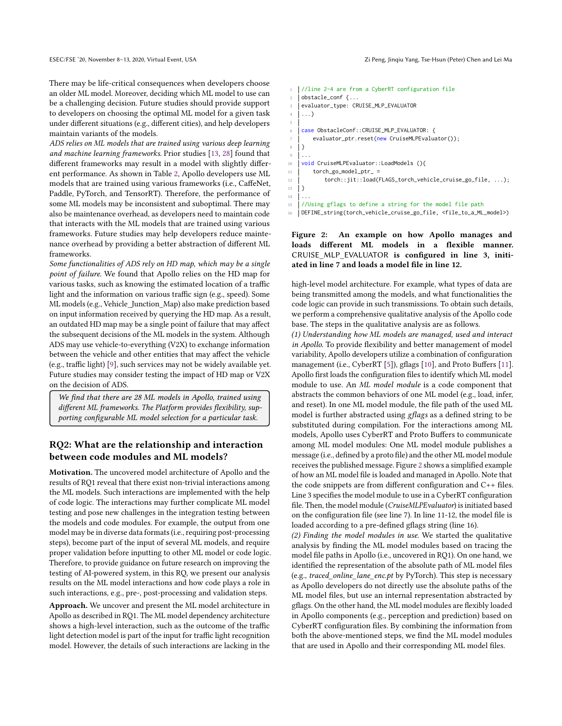There may be life-critical consequences when developers choose an older ML model. Moreover, deciding which ML model to use can be a challenging decision. Future studies should provide support to developers on choosing the optimal ML model for a given task under different situations (e.g., different cities), and help developers maintain variants of the models.

ADS relies on ML models that are trained using various deep learning and machine learning frameworks. Prior studies [\[13,](#page-10-26) [28\]](#page-10-27) found that different frameworks may result in a model with slightly different performance. As shown in Table [2,](#page-3-0) Apollo developers use ML models that are trained using various frameworks (i.e., CaffeNet, Paddle, PyTorch, and TensorRT). Therefore, the performance of some ML models may be inconsistent and suboptimal. There may also be maintenance overhead, as developers need to maintain code that interacts with the ML models that are trained using various frameworks. Future studies may help developers reduce maintenance overhead by providing a better abstraction of different ML frameworks.

Some functionalities of ADS rely on HD map, which may be a single point of failure. We found that Apollo relies on the HD map for various tasks, such as knowing the estimated location of a traffic light and the information on various traffic sign (e.g., speed). Some ML models (e.g., Vehicle\_Junction\_Map) also make prediction based on input information received by querying the HD map. As a result, an outdated HD map may be a single point of failure that may affect the subsequent decisions of the ML models in the system. Although ADS may use vehicle-to-everything (V2X) to exchange information between the vehicle and other entities that may affect the vehicle (e.g., traffic light) [\[9\]](#page-10-28), such services may not be widely available yet. Future studies may consider testing the impact of HD map or V2X on the decision of ADS.

We find that there are 28 ML models in Apollo, trained using different ML frameworks. The Platform provides flexibility, supporting configurable ML model selection for a particular task.

# RQ2: What are the relationship and interaction between code modules and ML models?

Motivation. The uncovered model architecture of Apollo and the results of RQ1 reveal that there exist non-trivial interactions among the ML models. Such interactions are implemented with the help of code logic. The interactions may further complicate ML model testing and pose new challenges in the integration testing between the models and code modules. For example, the output from one model may be in diverse data formats (i.e., requiring post-processing steps), become part of the input of several ML models, and require proper validation before inputting to other ML model or code logic. Therefore, to provide guidance on future research on improving the testing of AI-powered system, in this RQ, we present our analysis results on the ML model interactions and how code plays a role in such interactions, e.g., pre-, post-processing and validation steps.

Approach. We uncover and present the ML model architecture in Apollo as described in RQ1. The ML model dependency architecture shows a high-level interaction, such as the outcome of the traffic light detection model is part of the input for traffic light recognition model. However, the details of such interactions are lacking in the

```
1 //line 2-4 are from a CyberRT configuration file
2 obstacle conf {f...}3 evaluator_type: CRUISE_MLP_EVALUATOR
4 \mid \ldots5
6 case ObstacleConf::CRUISE_MLP_EVALUATOR: {
7 evaluator_ptr.reset(new CruiseMLPEvaluator());
8 | }
9 ...
10 void CruiseMLPEvaluator::LoadModels (){
11 | torch_go_model_ptr_ =
12 torch::jit::load(FLAGS_torch_vehicle_cruise_go_file, ...);
13 \mid }
1415 //Using gflags to define a string for the model file path
16 DEFINE_string(torch_vehicle_cruise_go_file, <file_to_a_ML_model>)
```
Figure 2: An example on how Apollo manages and loads different ML models in a flexible manner. CRUISE\_MLP\_EVALUATOR is configured in line 3, initiated in line 7 and loads a model file in line 12.

high-level model architecture. For example, what types of data are being transmitted among the models, and what functionalities the code logic can provide in such transmissions. To obtain such details, we perform a comprehensive qualitative analysis of the Apollo code base. The steps in the qualitative analysis are as follows.

(1) Understanding how ML models are managed, used and interact in Apollo. To provide flexibility and better management of model variability, Apollo developers utilize a combination of configuration management (i.e., CyberRT [\[5\]](#page-10-29)), gflags [\[10\]](#page-10-30), and Proto Buffers [\[11\]](#page-10-31). Apollo first loads the configuration files to identify which ML model module to use. An ML model module is a code component that abstracts the common behaviors of one ML model (e.g., load, infer, and reset). In one ML model module, the file path of the used ML model is further abstracted using gflags as a defined string to be substituted during compilation. For the interactions among ML models, Apollo uses CyberRT and Proto Buffers to communicate among ML model modules: One ML model module publishes a message (i.e., defined by a proto file) and the other ML model module receives the published message. Figure [2](#page-5-0) shows a simplified example of how an ML model file is loaded and managed in Apollo. Note that the code snippets are from different configuration and C++ files. Line 3 specifies the model module to use in a CyberRT configuration file. Then, the model module (CruiseMLPEvaluator) is initiated based on the configuration file (see line 7). In line 11-12, the model file is loaded according to a pre-defined gflags string (line 16).

(2) Finding the model modules in use. We started the qualitative analysis by finding the ML model modules based on tracing the model file paths in Apollo (i.e., uncovered in RQ1). On one hand, we identified the representation of the absolute path of ML model files (e.g., traced\_online\_lane\_enc.pt by PyTorch). This step is necessary as Apollo developers do not directly use the absolute paths of the ML model files, but use an internal representation abstracted by gflags. On the other hand, the ML model modules are flexibly loaded in Apollo components (e.g., perception and prediction) based on CyberRT configuration files. By combining the information from both the above-mentioned steps, we find the ML model modules that are used in Apollo and their corresponding ML model files.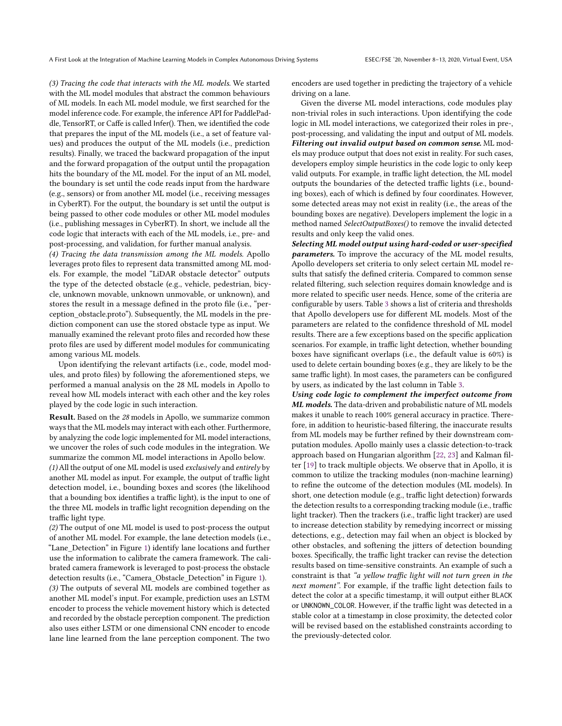(3) Tracing the code that interacts with the ML models. We started with the ML model modules that abstract the common behaviours of ML models. In each ML model module, we first searched for the model inference code. For example, the inference API for PaddlePaddle, TensorRT, or Caffe is called Infer(). Then, we identified the code that prepares the input of the ML models (i.e., a set of feature values) and produces the output of the ML models (i.e., prediction results). Finally, we traced the backward propagation of the input and the forward propagation of the output until the propagation hits the boundary of the ML model. For the input of an ML model, the boundary is set until the code reads input from the hardware (e.g., sensors) or from another ML model (i.e., receiving messages in CyberRT). For the output, the boundary is set until the output is being passed to other code modules or other ML model modules (i.e., publishing messages in CyberRT). In short, we include all the code logic that interacts with each of the ML models, i.e., pre- and post-processing, and validation, for further manual analysis.

(4) Tracing the data transmission among the ML models. Apollo leverages proto files to represent data transmitted among ML models. For example, the model "LiDAR obstacle detector" outputs the type of the detected obstacle (e.g., vehicle, pedestrian, bicycle, unknown movable, unknown unmovable, or unknown), and stores the result in a message defined in the proto file (i.e., "perception\_obstacle.proto"). Subsequently, the ML models in the prediction component can use the stored obstacle type as input. We manually examined the relevant proto files and recorded how these proto files are used by different model modules for communicating among various ML models.

Upon identifying the relevant artifacts (i.e., code, model modules, and proto files) by following the aforementioned steps, we performed a manual analysis on the 28 ML models in Apollo to reveal how ML models interact with each other and the key roles played by the code logic in such interaction.

Result. Based on the 28 models in Apollo, we summarize common ways that the ML models may interact with each other. Furthermore, by analyzing the code logic implemented for ML model interactions, we uncover the roles of such code modules in the integration. We summarize the common ML model interactions in Apollo below.

(1) All the output of one ML model is used exclusively and entirely by another ML model as input. For example, the output of traffic light detection model, i.e., bounding boxes and scores (the likelihood that a bounding box identifies a traffic light), is the input to one of the three ML models in traffic light recognition depending on the traffic light type.

(2) The output of one ML model is used to post-process the output of another ML model. For example, the lane detection models (i.e., "Lane\_Detection" in Figure [1\)](#page-2-2) identify lane locations and further use the information to calibrate the camera framework. The calibrated camera framework is leveraged to post-process the obstacle detection results (i.e., "Camera\_Obstacle\_Detection" in Figure [1\)](#page-2-2). (3) The outputs of several ML models are combined together as another ML model's input. For example, prediction uses an LSTM encoder to process the vehicle movement history which is detected and recorded by the obstacle perception component. The prediction also uses either LSTM or one dimensional CNN encoder to encode lane line learned from the lane perception component. The two

encoders are used together in predicting the trajectory of a vehicle driving on a lane.

Given the diverse ML model interactions, code modules play non-trivial roles in such interactions. Upon identifying the code logic in ML model interactions, we categorized their roles in pre-, post-processing, and validating the input and output of ML models. Filtering out invalid output based on common sense. ML models may produce output that does not exist in reality. For such cases, developers employ simple heuristics in the code logic to only keep valid outputs. For example, in traffic light detection, the ML model outputs the boundaries of the detected traffic lights (i.e., bounding boxes), each of which is defined by four coordinates. However, some detected areas may not exist in reality (i.e., the areas of the bounding boxes are negative). Developers implement the logic in a method named SelectOutputBoxes() to remove the invalid detected results and only keep the valid ones.

Selecting ML model output using hard-coded or user-specified parameters. To improve the accuracy of the ML model results, Apollo developers set criteria to only select certain ML model results that satisfy the defined criteria. Compared to common sense related filtering, such selection requires domain knowledge and is more related to specific user needs. Hence, some of the criteria are configurable by users. Table [3](#page-7-0) shows a list of criteria and thresholds that Apollo developers use for different ML models. Most of the parameters are related to the confidence threshold of ML model results. There are a few exceptions based on the specific application scenarios. For example, in traffic light detection, whether bounding boxes have significant overlaps (i.e., the default value is 60%) is used to delete certain bounding boxes (e.g., they are likely to be the same traffic light). In most cases, the parameters can be configured by users, as indicated by the last column in Table [3.](#page-7-0)

Using code logic to complement the imperfect outcome from ML models. The data-driven and probabilistic nature of ML models makes it unable to reach 100% general accuracy in practice. Therefore, in addition to heuristic-based filtering, the inaccurate results from ML models may be further refined by their downstream computation modules. Apollo mainly uses a classic detection-to-track approach based on Hungarian algorithm [\[22,](#page-10-32) [23\]](#page-10-33) and Kalman filter [\[19\]](#page-10-34) to track multiple objects. We observe that in Apollo, it is common to utilize the tracking modules (non-machine learning) to refine the outcome of the detection modules (ML models). In short, one detection module (e.g., traffic light detection) forwards the detection results to a corresponding tracking module (i.e., traffic light tracker). Then the trackers (i.e., traffic light tracker) are used to increase detection stability by remedying incorrect or missing detections, e.g., detection may fail when an object is blocked by other obstacles, and softening the jitters of detection bounding boxes. Specifically, the traffic light tracker can revise the detection results based on time-sensitive constraints. An example of such a constraint is that "a yellow traffic light will not turn green in the next moment". For example, if the traffic light detection fails to detect the color at a specific timestamp, it will output either BLACK or UNKNOWN\_COLOR. However, if the traffic light was detected in a stable color at a timestamp in close proximity, the detected color will be revised based on the established constraints according to the previously-detected color.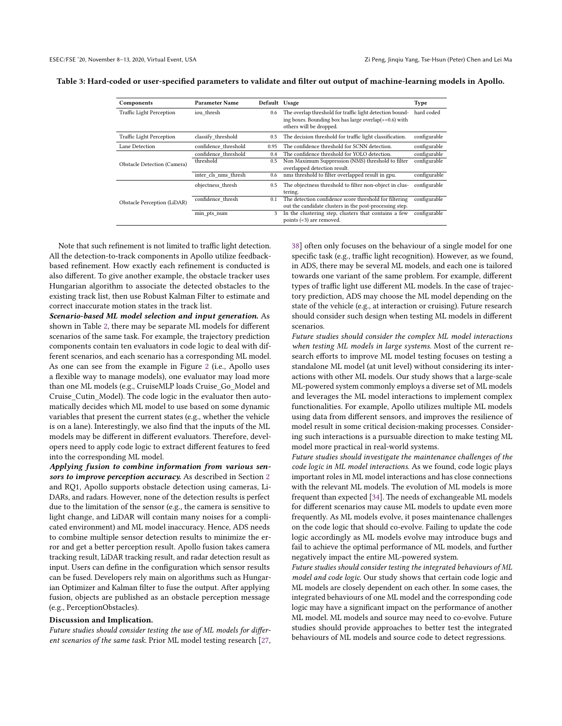<span id="page-7-0"></span>Table 3: Hard-coded or user-specified parameters to validate and filter out output of machine-learning models in Apollo.

| Components                      | <b>Parameter Name</b> | Default Usage |                                                                                                                                              | <b>Type</b>  |
|---------------------------------|-----------------------|---------------|----------------------------------------------------------------------------------------------------------------------------------------------|--------------|
| <b>Traffic Light Perception</b> | iou thresh            | 0.6           | The overlap threshold for traffic light detection bound-<br>ing boxes. Bounding box has large overlap(>=0.6) with<br>others will be dropped. | hard coded   |
| <b>Traffic Light Perception</b> | classify threshold    | 0.5           | The decision threshold for traffic light classification.                                                                                     | configurable |
| Lane Detection                  | confidence threshold  | 0.95          | The confidence threshold for SCNN detection.                                                                                                 | configurable |
| Obstacle Detection (Camera)     | confidence threshold  | 0.4           | The confidence threshold for YOLO detection.                                                                                                 | configurable |
|                                 | threshold             | 0.5           | Non Maximum Suppression (NMS) threshold to filter<br>overlapped detection result.                                                            | configurable |
|                                 | inter cls nms thresh  | 0.6           | nms threshold to filter overlapped result in gpu.                                                                                            | configurable |
| Obstacle Perception (LiDAR)     | objectness thresh     | 0.5           | The objectness threshold to filter non-object in clus-<br>tering.                                                                            | configurable |
|                                 | confidence thresh     | 0.1           | The detection confidence score threshold for filtering<br>out the candidate clusters in the post-processing step.                            | configurable |
|                                 | min pts num           | 3             | In the clustering step, clusters that contains a few<br>points (<3) are removed.                                                             | configurable |

Note that such refinement is not limited to traffic light detection. All the detection-to-track components in Apollo utilize feedbackbased refinement. How exactly each refinement is conducted is also different. To give another example, the obstacle tracker uses Hungarian algorithm to associate the detected obstacles to the existing track list, then use Robust Kalman Filter to estimate and correct inaccurate motion states in the track list.

Scenario-based ML model selection and input generation. As shown in Table [2,](#page-3-0) there may be separate ML models for different scenarios of the same task. For example, the trajectory prediction components contain ten evaluators in code logic to deal with different scenarios, and each scenario has a corresponding ML model. As one can see from the example in Figure [2](#page-5-0) (i.e., Apollo uses a flexible way to manage models), one evaluator may load more than one ML models (e.g., CruiseMLP loads Cruise\_Go\_Model and Cruise\_Cutin\_Model). The code logic in the evaluator then automatically decides which ML model to use based on some dynamic variables that present the current states (e.g., whether the vehicle is on a lane). Interestingly, we also find that the inputs of the ML models may be different in different evaluators. Therefore, developers need to apply code logic to extract different features to feed into the corresponding ML model.

Applying fusion to combine information from various sen-sors to improve perception accuracy. As described in Section [2](#page-1-0) and RQ1, Apollo supports obstacle detection using cameras, Li-DARs, and radars. However, none of the detection results is perfect due to the limitation of the sensor (e.g., the camera is sensitive to light change, and LiDAR will contain many noises for a complicated environment) and ML model inaccuracy. Hence, ADS needs to combine multiple sensor detection results to minimize the error and get a better perception result. Apollo fusion takes camera tracking result, LiDAR tracking result, and radar detection result as input. Users can define in the configuration which sensor results can be fused. Developers rely main on algorithms such as Hungarian Optimizer and Kalman filter to fuse the output. After applying fusion, objects are published as an obstacle perception message (e.g., PerceptionObstacles).

#### Discussion and Implication.

Future studies should consider testing the use of ML models for different scenarios of the same task. Prior ML model testing research [\[27,](#page-10-8)

[38\]](#page-10-9) often only focuses on the behaviour of a single model for one specific task (e.g., traffic light recognition). However, as we found, in ADS, there may be several ML models, and each one is tailored towards one variant of the same problem. For example, different types of traffic light use different ML models. In the case of trajectory prediction, ADS may choose the ML model depending on the state of the vehicle (e.g., at interaction or cruising). Future research should consider such design when testing ML models in different scenarios.

Future studies should consider the complex ML model interactions when testing ML models in large systems. Most of the current research efforts to improve ML model testing focuses on testing a standalone ML model (at unit level) without considering its interactions with other ML models. Our study shows that a large-scale ML-powered system commonly employs a diverse set of ML models and leverages the ML model interactions to implement complex functionalities. For example, Apollo utilizes multiple ML models using data from different sensors, and improves the resilience of model result in some critical decision-making processes. Considering such interactions is a pursuable direction to make testing ML model more practical in real-world systems.

Future studies should investigate the maintenance challenges of the code logic in ML model interactions. As we found, code logic plays important roles in ML model interactions and has close connections with the relevant ML models. The evolution of ML models is more frequent than expected [\[34\]](#page-10-35). The needs of exchangeable ML models for different scenarios may cause ML models to update even more frequently. As ML models evolve, it poses maintenance challenges on the code logic that should co-evolve. Failing to update the code logic accordingly as ML models evolve may introduce bugs and fail to achieve the optimal performance of ML models, and further negatively impact the entire ML-powered system.

Future studies should consider testing the integrated behaviours of ML model and code logic. Our study shows that certain code logic and ML models are closely dependent on each other. In some cases, the integrated behaviours of one ML model and the corresponding code logic may have a significant impact on the performance of another ML model. ML models and source may need to co-evolve. Future studies should provide approaches to better test the integrated behaviours of ML models and source code to detect regressions.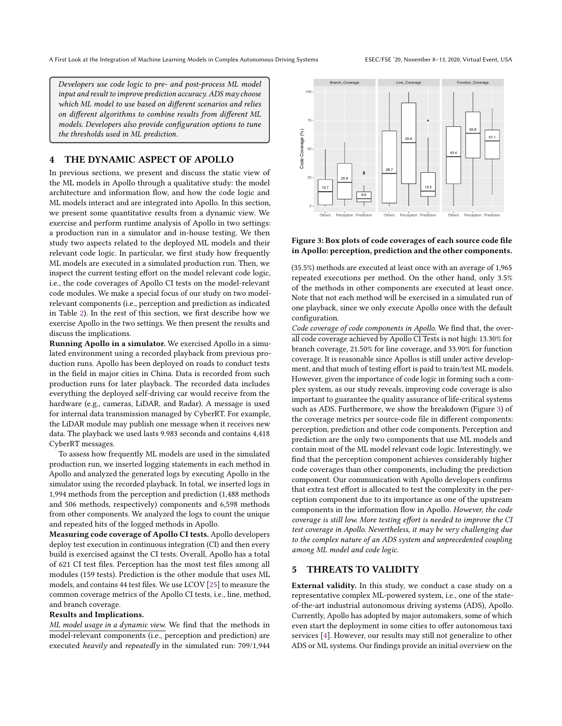Developers use code logic to pre- and post-process ML model input and result to improve prediction accuracy. ADS may choose which ML model to use based on different scenarios and relies on different algorithms to combine results from different ML models. Developers also provide configuration options to tune the thresholds used in ML prediction.

## <span id="page-8-0"></span>4 THE DYNAMIC ASPECT OF APOLLO

In previous sections, we present and discuss the static view of the ML models in Apollo through a qualitative study: the model architecture and information flow, and how the code logic and ML models interact and are integrated into Apollo. In this section, we present some quantitative results from a dynamic view. We exercise and perform runtime analysis of Apollo in two settings: a production run in a simulator and in-house testing. We then study two aspects related to the deployed ML models and their relevant code logic. In particular, we first study how frequently ML models are executed in a simulated production run. Then, we inspect the current testing effort on the model relevant code logic, i.e., the code coverages of Apollo CI tests on the model-relevant code modules. We make a special focus of our study on two modelrelevant components (i.e., perception and prediction as indicated in Table [2\)](#page-3-0). In the rest of this section, we first describe how we exercise Apollo in the two settings. We then present the results and discuss the implications. architetrus and information flow, and how the code logic and<br>server and are integrated into Apollo. In this section,<br>we nesear some quantitative results from a dynamic view. We were the secure two means to Apollo in two se

Running Apollo in a simulator. We exercised Apollo in a simulated environment using a recorded playback from previous production runs. Apollo has been deployed on roads to conduct tests in the field in major cities in China. Data is recorded from such production runs for later playback. The recorded data includes everything the deployed self-driving car would receive from the hardware (e.g., cameras, LiDAR, and Radar). A message is used for internal data transmission managed by CyberRT. For example, the LiDAR module may publish one message when it receives new data. The playback we used lasts 9.983 seconds and contains 4,418 CyberRT messages.

To assess how frequently ML models are used in the simulated production run, we inserted logging statements in each method in Apollo and analyzed the generated logs by executing Apollo in the simulator using the recorded playback. In total, we inserted logs in 1,994 methods from the perception and prediction (1,488 methods and 506 methods, respectively) components and 6,598 methods from other components. We analyzed the logs to count the unique and repeated hits of the logged methods in Apollo.

Measuring code coverage of Apollo CI tests. Apollo developers deploy test execution in continuous integration (CI) and then every build is exercised against the CI tests. Overall, Apollo has a total of 621 CI test files. Perception has the most test files among all modules (159 tests). Prediction is the other module that uses ML models, and contains 44 test files. We use LCOV [\[25\]](#page-10-36) to measure the common coverage metrics of the Apollo CI tests, i.e., line, method, and branch coverage.

#### Results and Implications.

ML model usage in a dynamic view. We find that the methods in model-relevant components (i.e., perception and prediction) are

<span id="page-8-2"></span>

#### Figure 3: Box plots of code coverages of each source code file in Apollo: perception, prediction and the other components.

(35.5%) methods are executed at least once with an average of 1,965 repeated executions per method. On the other hand, only 3.5% of the methods in other components are executed at least once. Note that not each method will be exercised in a simulated run of one playback, since we only execute Apollo once with the default configuration.

Code coverage of code components in Apollo. We find that, the overall code coverage achieved by Apollo CI Tests is not high: 13.30% for branch coverage, 21.50% for line coverage, and 33.90% for function coverage. It is reasonable since Apollos is still under active development, and that much of testing effort is paid to train/test ML models. However, given the importance of code logic in forming such a complex system, as our study reveals, improving code coverage is also important to guarantee the quality assurance of life-critical systems such as ADS. Furthermore, we show the breakdown (Figure [3\)](#page-8-2) of the coverage metrics per source-code file in different components: perception, prediction and other code components. Perception and prediction are the only two components that use ML models and contain most of the ML model relevant code logic. Interestingly, we find that the perception component achieves considerably higher code coverages than other components, including the prediction component. Our communication with Apollo developers confirms that extra test effort is allocated to test the complexity in the perception component due to its importance as one of the upstream components in the information flow in Apollo. However, the code coverage is still low. More testing effort is needed to improve the CI test coverage in Apollo. Nevertheless, it may be very challenging due to the complex nature of an ADS system and unprecedented coupling among ML model and code logic.

# <span id="page-8-1"></span>5 THREATS TO VALIDITY

External validity. In this study, we conduct a case study on a representative complex ML-powered system, i.e., one of the stateof-the-art industrial autonomous driving systems (ADS), Apollo. Currently, Apollo has adopted by major automakers, some of which even start the deployment in some cities to offer autonomous taxi services [\[4\]](#page-10-12). However, our results may still not generalize to other ADS or ML systems. Our findings provide an initial overview on the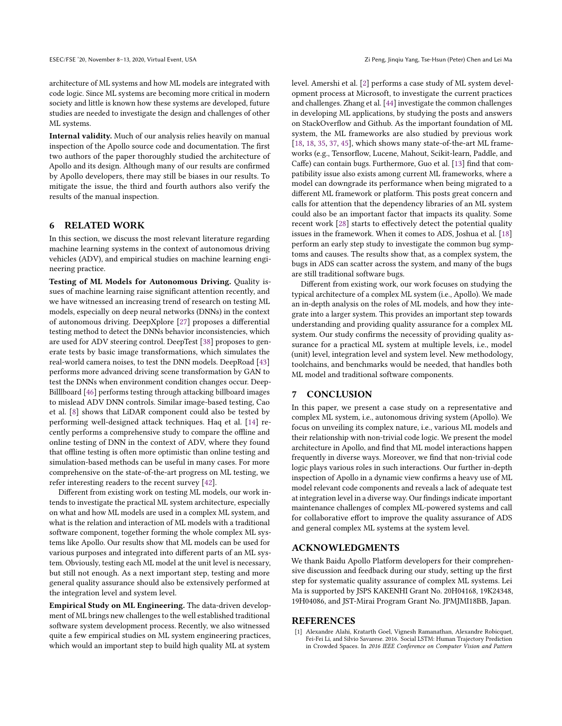architecture of ML systems and how ML models are integrated with code logic. Since ML systems are becoming more critical in modern society and little is known how these systems are developed, future studies are needed to investigate the design and challenges of other ML systems.

Internal validity. Much of our analysis relies heavily on manual inspection of the Apollo source code and documentation. The first two authors of the paper thoroughly studied the architecture of Apollo and its design. Although many of our results are confirmed by Apollo developers, there may still be biases in our results. To mitigate the issue, the third and fourth authors also verify the results of the manual inspection.

## <span id="page-9-0"></span>6 RELATED WORK

In this section, we discuss the most relevant literature regarding machine learning systems in the context of autonomous driving vehicles (ADV), and empirical studies on machine learning engineering practice.

Testing of ML Models for Autonomous Driving. Quality issues of machine learning raise significant attention recently, and we have witnessed an increasing trend of research on testing ML models, especially on deep neural networks (DNNs) in the context of autonomous driving. DeepXplore [\[27\]](#page-10-8) proposes a differential testing method to detect the DNNs behavior inconsistencies, which are used for ADV steering control. DeepTest [\[38\]](#page-10-9) proposes to generate tests by basic image transformations, which simulates the real-world camera noises, to test the DNN models. DeepRoad [\[43\]](#page-10-10) performs more advanced driving scene transformation by GAN to test the DNNs when environment condition changes occur. Deep-Billlboard [\[46\]](#page-10-37) performs testing through attacking billboard images to mislead ADV DNN controls. Similar image-based testing, Cao et al. [\[8\]](#page-10-38) shows that LiDAR component could also be tested by performing well-designed attack techniques. Haq et al. [\[14\]](#page-10-7) recently performs a comprehensive study to compare the offline and online testing of DNN in the context of ADV, where they found that offline testing is often more optimistic than online testing and simulation-based methods can be useful in many cases. For more comprehensive on the state-of-the-art progress on ML testing, we refer interesting readers to the recent survey [\[42\]](#page-10-15).

Different from existing work on testing ML models, our work intends to investigate the practical ML system architecture, especially on what and how ML models are used in a complex ML system, and what is the relation and interaction of ML models with a traditional software component, together forming the whole complex ML systems like Apollo. Our results show that ML models can be used for various purposes and integrated into different parts of an ML system. Obviously, testing each ML model at the unit level is necessary, but still not enough. As a next important step, testing and more general quality assurance should also be extensively performed at the integration level and system level.

Empirical Study on ML Engineering. The data-driven development of ML brings new challenges to the well established traditional software system development process. Recently, we also witnessed quite a few empirical studies on ML system engineering practices, which would an important step to build high quality ML at system

level. Amershi et al. [\[2\]](#page-10-39) performs a case study of ML system development process at Microsoft, to investigate the current practices and challenges. Zhang et al. [\[44\]](#page-10-40) investigate the common challenges in developing ML applications, by studying the posts and answers on StackOverflow and Github. As the important foundation of ML system, the ML frameworks are also studied by previous work [\[18,](#page-10-41) [18,](#page-10-41) [35,](#page-10-42) [37,](#page-10-43) [45\]](#page-10-44), which shows many state-of-the-art ML frameworks (e.g., Tensorflow, Lucene, Mahout, Scikit-learn, Paddle, and Caffe) can contain bugs. Furthermore, Guo et al. [\[13\]](#page-10-26) find that compatibility issue also exists among current ML frameworks, where a model can downgrade its performance when being migrated to a different ML framework or platform. This posts great concern and calls for attention that the dependency libraries of an ML system could also be an important factor that impacts its quality. Some recent work [\[28\]](#page-10-27) starts to effectively detect the potential quality issues in the framework. When it comes to ADS, Joshua et al. [\[18\]](#page-10-41) perform an early step study to investigate the common bug symptoms and causes. The results show that, as a complex system, the bugs in ADS can scatter across the system, and many of the bugs are still traditional software bugs.

Different from existing work, our work focuses on studying the typical architecture of a complex ML system (i.e., Apollo). We made an in-depth analysis on the roles of ML models, and how they integrate into a larger system. This provides an important step towards understanding and providing quality assurance for a complex ML system. Our study confirms the necessity of providing quality assurance for a practical ML system at multiple levels, i.e., model (unit) level, integration level and system level. New methodology, toolchains, and benchmarks would be needed, that handles both ML model and traditional software components.

#### <span id="page-9-1"></span>7 CONCLUSION

In this paper, we present a case study on a representative and complex ML system, i.e., autonomous driving system (Apollo). We focus on unveiling its complex nature, i.e., various ML models and their relationship with non-trivial code logic. We present the model architecture in Apollo, and find that ML model interactions happen frequently in diverse ways. Moreover, we find that non-trivial code logic plays various roles in such interactions. Our further in-depth inspection of Apollo in a dynamic view confirms a heavy use of ML model relevant code components and reveals a lack of adequate test at integration level in a diverse way. Our findings indicate important maintenance challenges of complex ML-powered systems and call for collaborative effort to improve the quality assurance of ADS and general complex ML systems at the system level.

## ACKNOWLEDGMENTS

We thank Baidu Apollo Platform developers for their comprehensive discussion and feedback during our study, setting up the first step for systematic quality assurance of complex ML systems. Lei Ma is supported by JSPS KAKENHI Grant No. 20H04168, 19K24348, 19H04086, and JST-Mirai Program Grant No. JPMJMI18BB, Japan.

#### REFERENCES

<span id="page-9-2"></span>[1] Alexandre Alahi, Kratarth Goel, Vignesh Ramanathan, Alexandre Robicquet, Fei-Fei Li, and Silvio Savarese. 2016. Social LSTM: Human Trajectory Prediction in Crowded Spaces. In 2016 IEEE Conference on Computer Vision and Pattern